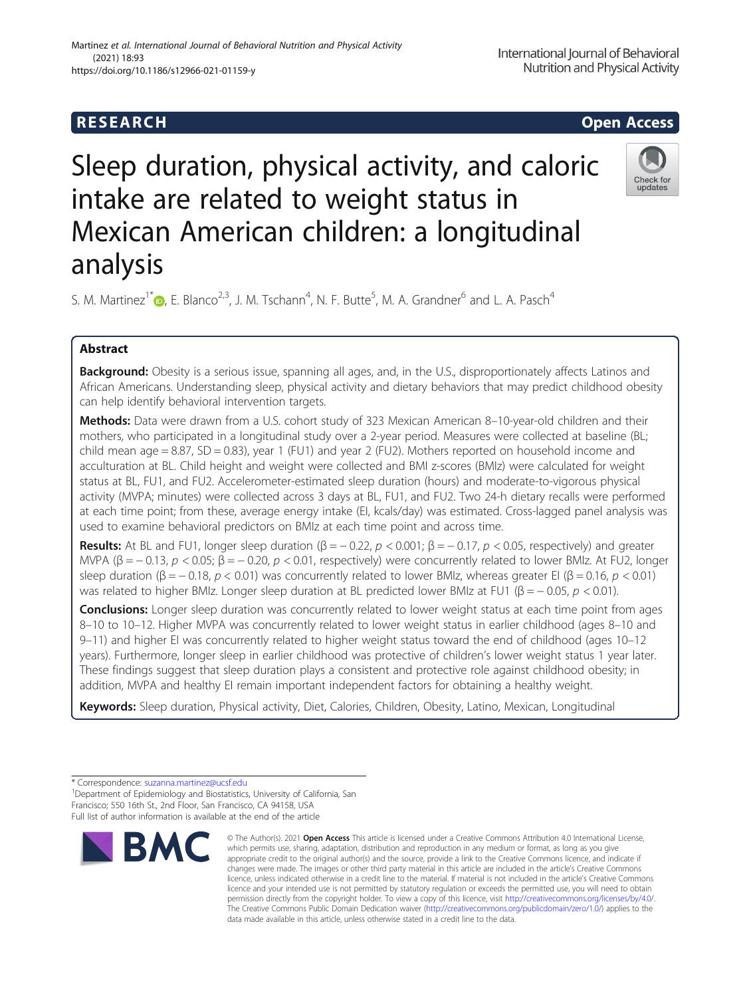# Sleep duration, physical activity, and caloric intake are related to weight status in Mexican American children: a longitudinal analysis

S. M. Martinez<sup>1\*</sup>  $\bigcirc$ [,](http://orcid.org/0000-0001-7864-1391) E. Blanco<sup>2,3</sup>, J. M. Tschann<sup>4</sup>, N. F. Butte<sup>5</sup>, M. A. Grandner<sup>6</sup> and L. A. Pasch<sup>4</sup>

# Abstract

Background: Obesity is a serious issue, spanning all ages, and, in the U.S., disproportionately affects Latinos and African Americans. Understanding sleep, physical activity and dietary behaviors that may predict childhood obesity can help identify behavioral intervention targets.

Methods: Data were drawn from a U.S. cohort study of 323 Mexican American 8-10-year-old children and their mothers, who participated in a longitudinal study over a 2-year period. Measures were collected at baseline (BL; child mean age = 8.87, SD = 0.83), year 1 (FU1) and year 2 (FU2). Mothers reported on household income and acculturation at BL. Child height and weight were collected and BMI z-scores (BMIz) were calculated for weight status at BL, FU1, and FU2. Accelerometer-estimated sleep duration (hours) and moderate-to-vigorous physical activity (MVPA; minutes) were collected across 3 days at BL, FU1, and FU2. Two 24-h dietary recalls were performed at each time point; from these, average energy intake (EI, kcals/day) was estimated. Cross-lagged panel analysis was used to examine behavioral predictors on BMIz at each time point and across time.

**Results:** At BL and FU1, longer sleep duration  $(\beta = -0.22, p < 0.001; \beta = -0.17, p < 0.05$ , respectively) and greater MVPA (β = -0.13,  $p < 0.05$ ; β = -0.20,  $p < 0.01$ , respectively) were concurrently related to lower BMIz. At FU2, longer sleep duration ( $\beta$  = - 0.18, p < 0.01) was concurrently related to lower BMIz, whereas greater EI ( $\beta$  = 0.16, p < 0.01) was related to higher BMIz. Longer sleep duration at BL predicted lower BMIz at FU1 (β = - 0.05,  $p$  < 0.01).

Conclusions: Longer sleep duration was concurrently related to lower weight status at each time point from ages 8–10 to 10–12. Higher MVPA was concurrently related to lower weight status in earlier childhood (ages 8–10 and 9–11) and higher EI was concurrently related to higher weight status toward the end of childhood (ages 10–12 years). Furthermore, longer sleep in earlier childhood was protective of children's lower weight status 1 year later. These findings suggest that sleep duration plays a consistent and protective role against childhood obesity; in addition, MVPA and healthy EI remain important independent factors for obtaining a healthy weight.

Keywords: Sleep duration, Physical activity, Diet, Calories, Children, Obesity, Latino, Mexican, Longitudinal



which permits use, sharing, adaptation, distribution and reproduction in any medium or format, as long as you give appropriate credit to the original author(s) and the source, provide a link to the Creative Commons licence, and indicate if changes were made. The images or other third party material in this article are included in the article's Creative Commons licence, unless indicated otherwise in a credit line to the material. If material is not included in the article's Creative Commons licence and your intended use is not permitted by statutory regulation or exceeds the permitted use, you will need to obtain permission directly from the copyright holder. To view a copy of this licence, visit [http://creativecommons.org/licenses/by/4.0/.](http://creativecommons.org/licenses/by/4.0/) The Creative Commons Public Domain Dedication waiver [\(http://creativecommons.org/publicdomain/zero/1.0/](http://creativecommons.org/publicdomain/zero/1.0/)) applies to the data made available in this article, unless otherwise stated in a credit line to the data.







<sup>\*</sup> Correspondence: [suzanna.martinez@ucsf.edu](mailto:suzanna.martinez@ucsf.edu) <sup>1</sup>

<sup>&</sup>lt;sup>1</sup> Department of Epidemiology and Biostatistics, University of California, San Francisco; 550 16th St., 2nd Floor, San Francisco, CA 94158, USA Full list of author information is available at the end of the article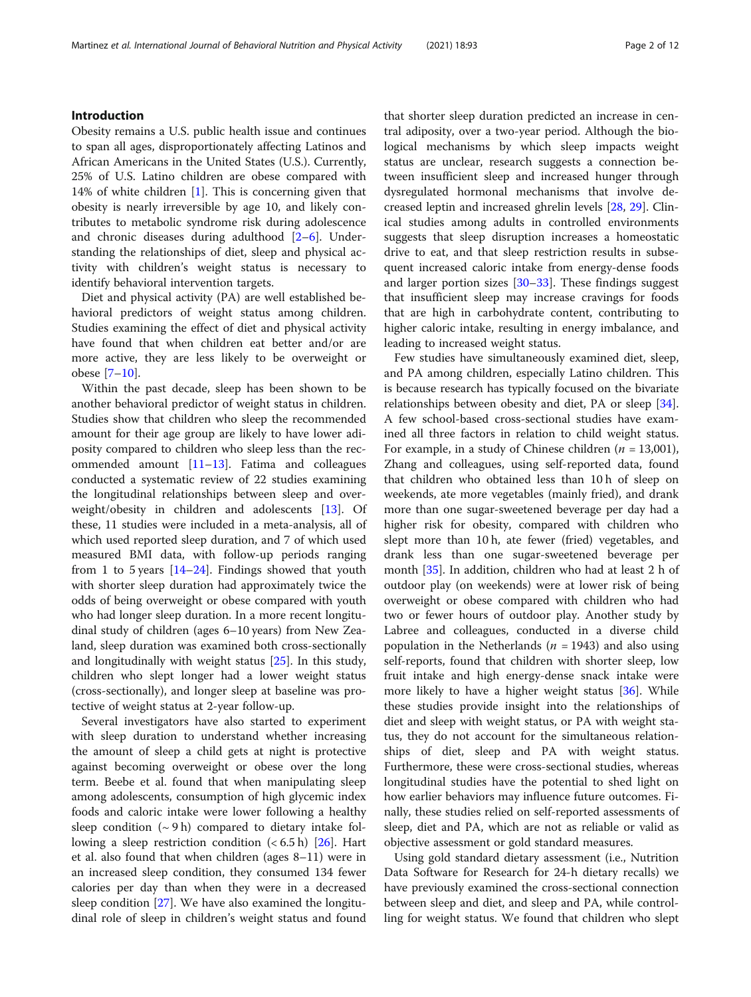# Introduction

Obesity remains a U.S. public health issue and continues to span all ages, disproportionately affecting Latinos and African Americans in the United States (U.S.). Currently, 25% of U.S. Latino children are obese compared with 14% of white children [[1\]](#page-8-0). This is concerning given that obesity is nearly irreversible by age 10, and likely contributes to metabolic syndrome risk during adolescence and chronic diseases during adulthood [\[2](#page-8-0)–[6](#page-8-0)]. Understanding the relationships of diet, sleep and physical activity with children's weight status is necessary to identify behavioral intervention targets.

Diet and physical activity (PA) are well established behavioral predictors of weight status among children. Studies examining the effect of diet and physical activity have found that when children eat better and/or are more active, they are less likely to be overweight or obese [[7](#page-8-0)–[10](#page-8-0)].

Within the past decade, sleep has been shown to be another behavioral predictor of weight status in children. Studies show that children who sleep the recommended amount for their age group are likely to have lower adiposity compared to children who sleep less than the recommended amount  $[11-13]$  $[11-13]$  $[11-13]$  $[11-13]$  $[11-13]$ . Fatima and colleagues conducted a systematic review of 22 studies examining the longitudinal relationships between sleep and overweight/obesity in children and adolescents [[13\]](#page-8-0). Of these, 11 studies were included in a meta-analysis, all of which used reported sleep duration, and 7 of which used measured BMI data, with follow-up periods ranging from 1 to 5 years [[14](#page-9-0)–[24](#page-9-0)]. Findings showed that youth with shorter sleep duration had approximately twice the odds of being overweight or obese compared with youth who had longer sleep duration. In a more recent longitudinal study of children (ages 6–10 years) from New Zealand, sleep duration was examined both cross-sectionally and longitudinally with weight status [\[25\]](#page-9-0). In this study, children who slept longer had a lower weight status (cross-sectionally), and longer sleep at baseline was protective of weight status at 2-year follow-up.

Several investigators have also started to experiment with sleep duration to understand whether increasing the amount of sleep a child gets at night is protective against becoming overweight or obese over the long term. Beebe et al. found that when manipulating sleep among adolescents, consumption of high glycemic index foods and caloric intake were lower following a healthy sleep condition  $({\sim} 9h)$  compared to dietary intake following a sleep restriction condition  $(< 6.5 h)$  [\[26\]](#page-9-0). Hart et al. also found that when children (ages 8–11) were in an increased sleep condition, they consumed 134 fewer calories per day than when they were in a decreased sleep condition [[27\]](#page-9-0). We have also examined the longitudinal role of sleep in children's weight status and found that shorter sleep duration predicted an increase in central adiposity, over a two-year period. Although the biological mechanisms by which sleep impacts weight status are unclear, research suggests a connection between insufficient sleep and increased hunger through dysregulated hormonal mechanisms that involve decreased leptin and increased ghrelin levels [\[28](#page-9-0), [29](#page-9-0)]. Clinical studies among adults in controlled environments suggests that sleep disruption increases a homeostatic drive to eat, and that sleep restriction results in subsequent increased caloric intake from energy-dense foods and larger portion sizes  $[30-33]$  $[30-33]$  $[30-33]$  $[30-33]$ . These findings suggest that insufficient sleep may increase cravings for foods that are high in carbohydrate content, contributing to higher caloric intake, resulting in energy imbalance, and leading to increased weight status.

Few studies have simultaneously examined diet, sleep, and PA among children, especially Latino children. This is because research has typically focused on the bivariate relationships between obesity and diet, PA or sleep [\[34](#page-9-0)]. A few school-based cross-sectional studies have examined all three factors in relation to child weight status. For example, in a study of Chinese children  $(n = 13,001)$ , Zhang and colleagues, using self-reported data, found that children who obtained less than 10 h of sleep on weekends, ate more vegetables (mainly fried), and drank more than one sugar-sweetened beverage per day had a higher risk for obesity, compared with children who slept more than 10 h, ate fewer (fried) vegetables, and drank less than one sugar-sweetened beverage per month [\[35\]](#page-9-0). In addition, children who had at least 2 h of outdoor play (on weekends) were at lower risk of being overweight or obese compared with children who had two or fewer hours of outdoor play. Another study by Labree and colleagues, conducted in a diverse child population in the Netherlands ( $n = 1943$ ) and also using self-reports, found that children with shorter sleep, low fruit intake and high energy-dense snack intake were more likely to have a higher weight status [\[36](#page-9-0)]. While these studies provide insight into the relationships of diet and sleep with weight status, or PA with weight status, they do not account for the simultaneous relationships of diet, sleep and PA with weight status. Furthermore, these were cross-sectional studies, whereas longitudinal studies have the potential to shed light on how earlier behaviors may influence future outcomes. Finally, these studies relied on self-reported assessments of sleep, diet and PA, which are not as reliable or valid as objective assessment or gold standard measures.

Using gold standard dietary assessment (i.e., Nutrition Data Software for Research for 24-h dietary recalls) we have previously examined the cross-sectional connection between sleep and diet, and sleep and PA, while controlling for weight status. We found that children who slept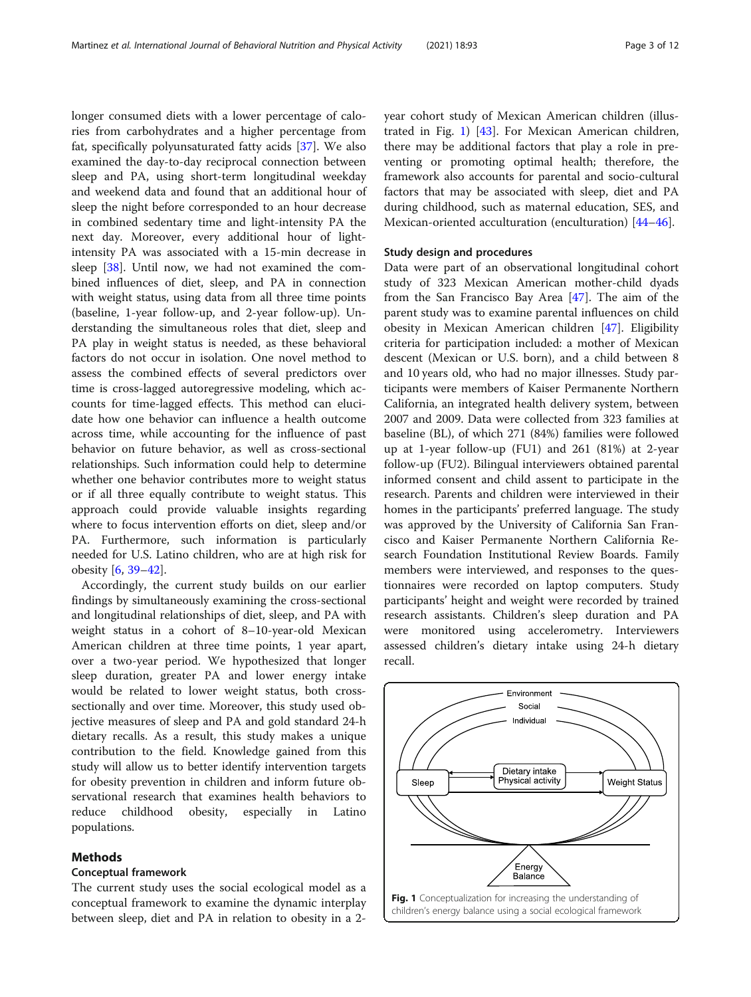longer consumed diets with a lower percentage of calories from carbohydrates and a higher percentage from fat, specifically polyunsaturated fatty acids [\[37\]](#page-9-0). We also examined the day-to-day reciprocal connection between sleep and PA, using short-term longitudinal weekday and weekend data and found that an additional hour of sleep the night before corresponded to an hour decrease in combined sedentary time and light-intensity PA the next day. Moreover, every additional hour of lightintensity PA was associated with a 15-min decrease in sleep [[38\]](#page-9-0). Until now, we had not examined the combined influences of diet, sleep, and PA in connection with weight status, using data from all three time points (baseline, 1-year follow-up, and 2-year follow-up). Understanding the simultaneous roles that diet, sleep and PA play in weight status is needed, as these behavioral factors do not occur in isolation. One novel method to assess the combined effects of several predictors over time is cross-lagged autoregressive modeling, which accounts for time-lagged effects. This method can elucidate how one behavior can influence a health outcome across time, while accounting for the influence of past behavior on future behavior, as well as cross-sectional relationships. Such information could help to determine whether one behavior contributes more to weight status or if all three equally contribute to weight status. This approach could provide valuable insights regarding where to focus intervention efforts on diet, sleep and/or PA. Furthermore, such information is particularly needed for U.S. Latino children, who are at high risk for obesity [\[6](#page-8-0), [39](#page-9-0)–[42\]](#page-9-0).

Accordingly, the current study builds on our earlier findings by simultaneously examining the cross-sectional and longitudinal relationships of diet, sleep, and PA with weight status in a cohort of 8–10-year-old Mexican American children at three time points, 1 year apart, over a two-year period. We hypothesized that longer sleep duration, greater PA and lower energy intake would be related to lower weight status, both crosssectionally and over time. Moreover, this study used objective measures of sleep and PA and gold standard 24-h dietary recalls. As a result, this study makes a unique contribution to the field. Knowledge gained from this study will allow us to better identify intervention targets for obesity prevention in children and inform future observational research that examines health behaviors to reduce childhood obesity, especially in Latino populations.

# Methods

### Conceptual framework

The current study uses the social ecological model as a conceptual framework to examine the dynamic interplay between sleep, diet and PA in relation to obesity in a 2year cohort study of Mexican American children (illustrated in Fig. 1) [[43](#page-9-0)]. For Mexican American children, there may be additional factors that play a role in preventing or promoting optimal health; therefore, the framework also accounts for parental and socio-cultural factors that may be associated with sleep, diet and PA during childhood, such as maternal education, SES, and Mexican-oriented acculturation (enculturation) [\[44](#page-9-0)–[46](#page-9-0)].

# Study design and procedures

Data were part of an observational longitudinal cohort study of 323 Mexican American mother-child dyads from the San Francisco Bay Area [\[47\]](#page-9-0). The aim of the parent study was to examine parental influences on child obesity in Mexican American children [[47\]](#page-9-0). Eligibility criteria for participation included: a mother of Mexican descent (Mexican or U.S. born), and a child between 8 and 10 years old, who had no major illnesses. Study participants were members of Kaiser Permanente Northern California, an integrated health delivery system, between 2007 and 2009. Data were collected from 323 families at baseline (BL), of which 271 (84%) families were followed up at 1-year follow-up (FU1) and 261 (81%) at 2-year follow-up (FU2). Bilingual interviewers obtained parental informed consent and child assent to participate in the research. Parents and children were interviewed in their homes in the participants' preferred language. The study was approved by the University of California San Francisco and Kaiser Permanente Northern California Research Foundation Institutional Review Boards. Family members were interviewed, and responses to the questionnaires were recorded on laptop computers. Study participants' height and weight were recorded by trained research assistants. Children's sleep duration and PA were monitored using accelerometry. Interviewers assessed children's dietary intake using 24-h dietary recall.

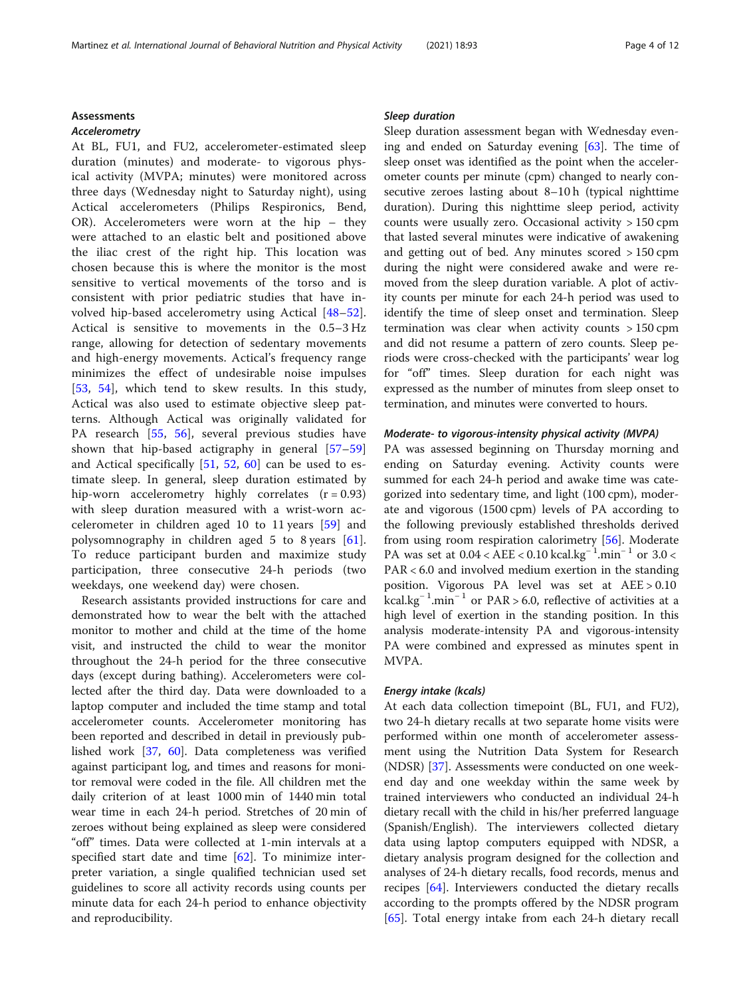# Assessments

### Accelerometry

At BL, FU1, and FU2, accelerometer-estimated sleep duration (minutes) and moderate- to vigorous physical activity (MVPA; minutes) were monitored across three days (Wednesday night to Saturday night), using Actical accelerometers (Philips Respironics, Bend, OR). Accelerometers were worn at the hip – they were attached to an elastic belt and positioned above the iliac crest of the right hip. This location was chosen because this is where the monitor is the most sensitive to vertical movements of the torso and is consistent with prior pediatric studies that have involved hip-based accelerometry using Actical [[48](#page-9-0)–[52](#page-9-0)]. Actical is sensitive to movements in the 0.5–3 Hz range, allowing for detection of sedentary movements and high-energy movements. Actical's frequency range minimizes the effect of undesirable noise impulses [[53,](#page-9-0) [54](#page-10-0)], which tend to skew results. In this study, Actical was also used to estimate objective sleep patterns. Although Actical was originally validated for PA research [[55,](#page-10-0) [56](#page-10-0)], several previous studies have shown that hip-based actigraphy in general [\[57](#page-10-0)–[59](#page-10-0)] and Actical specifically [\[51](#page-9-0), [52,](#page-9-0) [60\]](#page-10-0) can be used to estimate sleep. In general, sleep duration estimated by hip-worn accelerometry highly correlates  $(r = 0.93)$ with sleep duration measured with a wrist-worn accelerometer in children aged 10 to 11 years [\[59](#page-10-0)] and polysomnography in children aged 5 to 8 years [\[61](#page-10-0)]. To reduce participant burden and maximize study participation, three consecutive 24-h periods (two weekdays, one weekend day) were chosen.

Research assistants provided instructions for care and demonstrated how to wear the belt with the attached monitor to mother and child at the time of the home visit, and instructed the child to wear the monitor throughout the 24-h period for the three consecutive days (except during bathing). Accelerometers were collected after the third day. Data were downloaded to a laptop computer and included the time stamp and total accelerometer counts. Accelerometer monitoring has been reported and described in detail in previously published work [[37,](#page-9-0) [60](#page-10-0)]. Data completeness was verified against participant log, and times and reasons for monitor removal were coded in the file. All children met the daily criterion of at least 1000 min of 1440 min total wear time in each 24-h period. Stretches of 20 min of zeroes without being explained as sleep were considered "off" times. Data were collected at 1-min intervals at a specified start date and time [\[62](#page-10-0)]. To minimize interpreter variation, a single qualified technician used set guidelines to score all activity records using counts per minute data for each 24-h period to enhance objectivity and reproducibility.

# Sleep duration

Sleep duration assessment began with Wednesday evening and ended on Saturday evening [[63](#page-10-0)]. The time of sleep onset was identified as the point when the accelerometer counts per minute (cpm) changed to nearly consecutive zeroes lasting about 8–10 h (typical nighttime duration). During this nighttime sleep period, activity counts were usually zero. Occasional activity > 150 cpm that lasted several minutes were indicative of awakening and getting out of bed. Any minutes scored > 150 cpm during the night were considered awake and were removed from the sleep duration variable. A plot of activity counts per minute for each 24-h period was used to identify the time of sleep onset and termination. Sleep termination was clear when activity counts  $> 150$  cpm and did not resume a pattern of zero counts. Sleep periods were cross-checked with the participants' wear log for "off" times. Sleep duration for each night was expressed as the number of minutes from sleep onset to termination, and minutes were converted to hours.

# Moderate- to vigorous-intensity physical activity (MVPA)

PA was assessed beginning on Thursday morning and ending on Saturday evening. Activity counts were summed for each 24-h period and awake time was categorized into sedentary time, and light (100 cpm), moderate and vigorous (1500 cpm) levels of PA according to the following previously established thresholds derived from using room respiration calorimetry [\[56](#page-10-0)]. Moderate PA was set at 0.04 < AEE < 0.10 kcal.kg<sup>-1</sup>.min<sup>-1</sup> or 3.0 < PAR < 6.0 and involved medium exertion in the standing position. Vigorous PA level was set at AEE > 0.10 kcal.kg<sup>−</sup> <sup>1</sup> .min<sup>−</sup> <sup>1</sup> or PAR > 6.0, reflective of activities at a high level of exertion in the standing position. In this analysis moderate-intensity PA and vigorous-intensity PA were combined and expressed as minutes spent in MVPA.

# Energy intake (kcals)

At each data collection timepoint (BL, FU1, and FU2), two 24-h dietary recalls at two separate home visits were performed within one month of accelerometer assessment using the Nutrition Data System for Research (NDSR) [[37\]](#page-9-0). Assessments were conducted on one weekend day and one weekday within the same week by trained interviewers who conducted an individual 24-h dietary recall with the child in his/her preferred language (Spanish/English). The interviewers collected dietary data using laptop computers equipped with NDSR, a dietary analysis program designed for the collection and analyses of 24-h dietary recalls, food records, menus and recipes [[64\]](#page-10-0). Interviewers conducted the dietary recalls according to the prompts offered by the NDSR program [[65\]](#page-10-0). Total energy intake from each 24-h dietary recall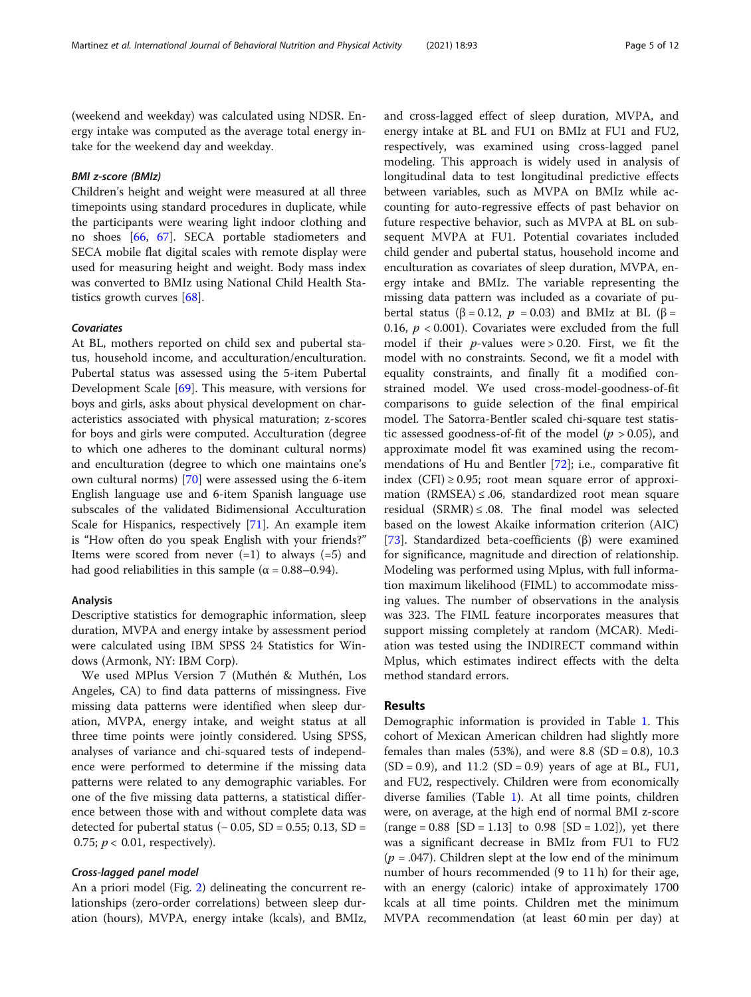(weekend and weekday) was calculated using NDSR. Energy intake was computed as the average total energy intake for the weekend day and weekday.

# BMI z-score (BMIz)

Children's height and weight were measured at all three timepoints using standard procedures in duplicate, while the participants were wearing light indoor clothing and no shoes [[66,](#page-10-0) [67](#page-10-0)]. SECA portable stadiometers and SECA mobile flat digital scales with remote display were used for measuring height and weight. Body mass index was converted to BMIz using National Child Health Statistics growth curves [[68\]](#page-10-0).

# Covariates

At BL, mothers reported on child sex and pubertal status, household income, and acculturation/enculturation. Pubertal status was assessed using the 5-item Pubertal Development Scale [[69\]](#page-10-0). This measure, with versions for boys and girls, asks about physical development on characteristics associated with physical maturation; z-scores for boys and girls were computed. Acculturation (degree to which one adheres to the dominant cultural norms) and enculturation (degree to which one maintains one's own cultural norms) [\[70](#page-10-0)] were assessed using the 6-item English language use and 6-item Spanish language use subscales of the validated Bidimensional Acculturation Scale for Hispanics, respectively [\[71](#page-10-0)]. An example item is "How often do you speak English with your friends?" Items were scored from never  $(=1)$  to always  $(=5)$  and had good reliabilities in this sample ( $\alpha$  = 0.88–0.94).

# Analysis

Descriptive statistics for demographic information, sleep duration, MVPA and energy intake by assessment period were calculated using IBM SPSS 24 Statistics for Windows (Armonk, NY: IBM Corp).

We used MPlus Version 7 (Muthén & Muthén, Los Angeles, CA) to find data patterns of missingness. Five missing data patterns were identified when sleep duration, MVPA, energy intake, and weight status at all three time points were jointly considered. Using SPSS, analyses of variance and chi-squared tests of independence were performed to determine if the missing data patterns were related to any demographic variables. For one of the five missing data patterns, a statistical difference between those with and without complete data was detected for pubertal status  $(-0.05, SD = 0.55; 0.13, SD =$ 0.75;  $p < 0.01$ , respectively).

# Cross-lagged panel model

An a priori model (Fig. [2](#page-5-0)) delineating the concurrent relationships (zero-order correlations) between sleep duration (hours), MVPA, energy intake (kcals), and BMIz, and cross-lagged effect of sleep duration, MVPA, and energy intake at BL and FU1 on BMIz at FU1 and FU2, respectively, was examined using cross-lagged panel modeling. This approach is widely used in analysis of longitudinal data to test longitudinal predictive effects between variables, such as MVPA on BMIz while accounting for auto-regressive effects of past behavior on future respective behavior, such as MVPA at BL on subsequent MVPA at FU1. Potential covariates included child gender and pubertal status, household income and enculturation as covariates of sleep duration, MVPA, energy intake and BMIz. The variable representing the missing data pattern was included as a covariate of pubertal status (β = 0.12,  $p = 0.03$ ) and BMIz at BL (β = 0.16,  $p < 0.001$ ). Covariates were excluded from the full model if their  $p$ -values were > 0.20. First, we fit the model with no constraints. Second, we fit a model with equality constraints, and finally fit a modified constrained model. We used cross-model-goodness-of-fit comparisons to guide selection of the final empirical model. The Satorra-Bentler scaled chi-square test statistic assessed goodness-of-fit of the model ( $p > 0.05$ ), and approximate model fit was examined using the recommendations of Hu and Bentler [[72\]](#page-10-0); i.e., comparative fit index (CFI)  $\geq$  0.95; root mean square error of approximation (RMSEA)  $\leq$  .06, standardized root mean square residual  $(SRMR) \le .08$ . The final model was selected based on the lowest Akaike information criterion (AIC) [[73\]](#page-10-0). Standardized beta-coefficients (β) were examined for significance, magnitude and direction of relationship. Modeling was performed using Mplus, with full information maximum likelihood (FIML) to accommodate missing values. The number of observations in the analysis was 323. The FIML feature incorporates measures that support missing completely at random (MCAR). Mediation was tested using the INDIRECT command within Mplus, which estimates indirect effects with the delta method standard errors.

# Results

Demographic information is provided in Table [1.](#page-5-0) This cohort of Mexican American children had slightly more females than males (53%), and were 8.8 (SD = 0.8), 10.3  $(SD = 0.9)$ , and 11.2  $(SD = 0.9)$  years of age at BL, FU1, and FU2, respectively. Children were from economically diverse families (Table [1](#page-5-0)). At all time points, children were, on average, at the high end of normal BMI z-score  $(range = 0.88 [SD = 1.13] to 0.98 [SD = 1.02]), yet there$ was a significant decrease in BMIz from FU1 to FU2 ( $p = .047$ ). Children slept at the low end of the minimum number of hours recommended (9 to 11 h) for their age, with an energy (caloric) intake of approximately 1700 kcals at all time points. Children met the minimum MVPA recommendation (at least 60 min per day) at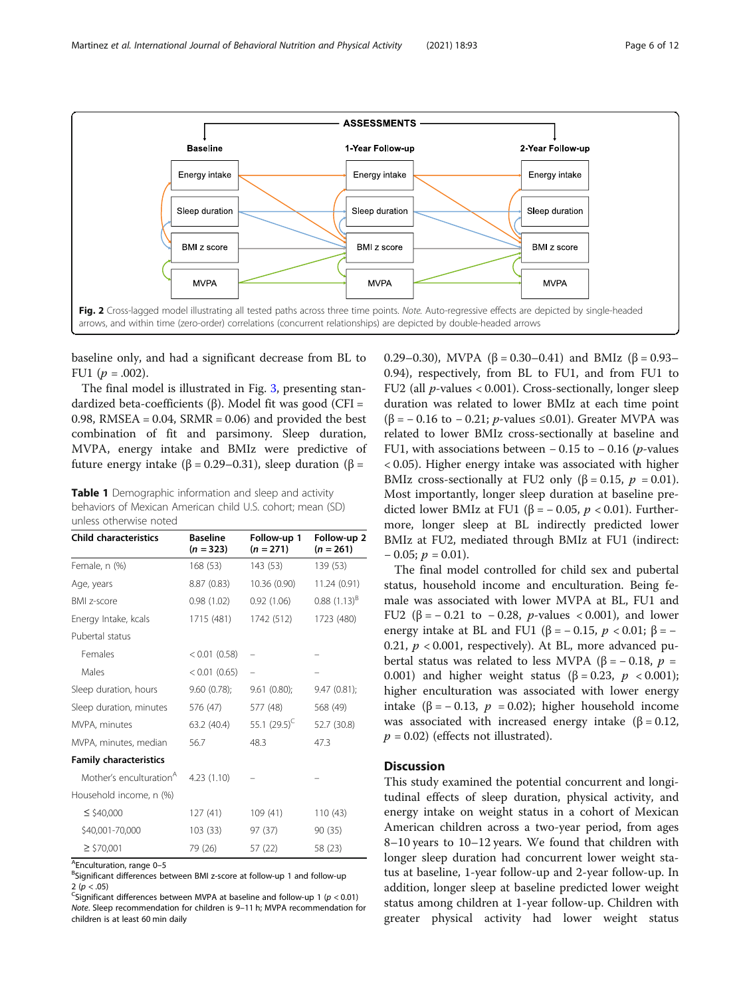<span id="page-5-0"></span>

baseline only, and had a significant decrease from BL to FU1 ( $p = .002$ ).

The final model is illustrated in Fig. [3](#page-6-0), presenting standardized beta-coefficients (β). Model fit was good (CFI = 0.98, RMSEA =  $0.04$ , SRMR =  $0.06$ ) and provided the best combination of fit and parsimony. Sleep duration, MVPA, energy intake and BMIz were predictive of future energy intake (β = 0.29–0.31), sleep duration (β =

Table 1 Demographic information and sleep and activity behaviors of Mexican American child U.S. cohort; mean (SD) unless otherwise noted

| <b>Child characteristics</b>        | <b>Baseline</b><br>$(n = 323)$ | Follow-up 1<br>$(n = 271)$ | Follow-up 2<br>$(n = 261)$ |
|-------------------------------------|--------------------------------|----------------------------|----------------------------|
| Female, n (%)                       | 168 (53)                       | 143 (53)                   | 139 (53)                   |
| Age, years                          | 8.87 (0.83)                    | 10.36 (0.90)               | 11.24 (0.91)               |
| <b>BMI</b> z-score                  | 0.98(1.02)                     | 0.92(1.06)                 | $0.88(1.13)^{B}$           |
| Energy Intake, kcals                | 1715 (481)                     | 1742 (512)                 | 1723 (480)                 |
| Pubertal status                     |                                |                            |                            |
| Females                             | $< 0.01$ (0.58)                |                            |                            |
| Males                               | $< 0.01$ (0.65)                |                            |                            |
| Sleep duration, hours               | 9.60(0.78);                    | 9.61(0.80);                | 9.47(0.81);                |
| Sleep duration, minutes             | 576 (47)                       | 577 (48)                   | 568 (49)                   |
| MVPA, minutes                       | 63.2 (40.4)                    | 55.1 $(29.5)^C$            | 52.7 (30.8)                |
| MVPA, minutes, median               | 56.7                           | 48.3                       | 47.3                       |
| <b>Family characteristics</b>       |                                |                            |                            |
| Mother's enculturation <sup>A</sup> | 4.23 (1.10)                    |                            |                            |
| Household income, n (%)             |                                |                            |                            |
| $\leq$ \$40,000                     | 127(41)                        | 109(41)                    | 110(43)                    |
| \$40,001-70,000                     | 103(33)                        | 97 (37)                    | 90 (35)                    |
| $\geq$ \$70,001                     | 79 (26)                        | 57 (22)                    | 58 (23)                    |

<sup>A</sup>Enculturation, range 0–5<br><sup>B</sup>Significant differences be

BSignificant differences between BMI z-score at follow-up 1 and follow-up 2 ( $p < .05$ )

<sup>C</sup>Significant differences between MVPA at baseline and follow-up 1 ( $p < 0.01$ ) Note. Sleep recommendation for children is 9–11 h; MVPA recommendation for children is at least 60 min daily

0.29–0.30), MVPA (β = 0.30–0.41) and BMIz (β = 0.93– 0.94), respectively, from BL to FU1, and from FU1 to FU2 (all  $p$ -values < 0.001). Cross-sectionally, longer sleep duration was related to lower BMIz at each time point ( $\beta$  = -0.16 to -0.21; *p*-values ≤0.01). Greater MVPA was related to lower BMIz cross-sectionally at baseline and FU1, with associations between  $-0.15$  to  $-0.16$  (*p*-values < 0.05). Higher energy intake was associated with higher BMIz cross-sectionally at FU2 only ( $\beta = 0.15$ ,  $p = 0.01$ ). Most importantly, longer sleep duration at baseline predicted lower BMIz at FU1 (β = -0.05,  $p < 0.01$ ). Furthermore, longer sleep at BL indirectly predicted lower BMIz at FU2, mediated through BMIz at FU1 (indirect:  $-0.05; p = 0.01$ .

The final model controlled for child sex and pubertal status, household income and enculturation. Being female was associated with lower MVPA at BL, FU1 and FU2 (β =  $-0.21$  to  $-0.28$ , *p*-values < 0.001), and lower energy intake at BL and FU1 ( $\beta$  = -0.15, p < 0.01;  $\beta$  = -0.21,  $p < 0.001$ , respectively). At BL, more advanced pubertal status was related to less MVPA (β = -0.18,  $p =$ 0.001) and higher weight status ( $\beta = 0.23$ ,  $p < 0.001$ ); higher enculturation was associated with lower energy intake (β = − 0.13, p = 0.02); higher household income was associated with increased energy intake ( $\beta = 0.12$ ,  $p = 0.02$ ) (effects not illustrated).

# **Discussion**

This study examined the potential concurrent and longitudinal effects of sleep duration, physical activity, and energy intake on weight status in a cohort of Mexican American children across a two-year period, from ages 8–10 years to 10–12 years. We found that children with longer sleep duration had concurrent lower weight status at baseline, 1-year follow-up and 2-year follow-up. In addition, longer sleep at baseline predicted lower weight status among children at 1-year follow-up. Children with greater physical activity had lower weight status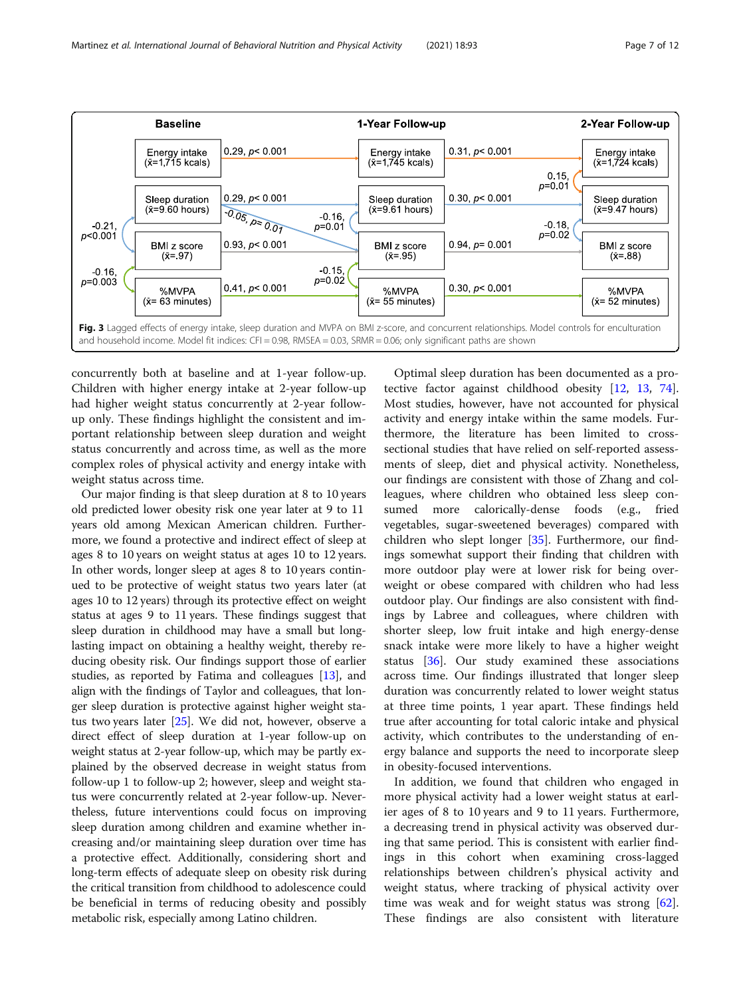<span id="page-6-0"></span>

concurrently both at baseline and at 1-year follow-up. Children with higher energy intake at 2-year follow-up had higher weight status concurrently at 2-year followup only. These findings highlight the consistent and important relationship between sleep duration and weight status concurrently and across time, as well as the more complex roles of physical activity and energy intake with weight status across time.

Our major finding is that sleep duration at 8 to 10 years old predicted lower obesity risk one year later at 9 to 11 years old among Mexican American children. Furthermore, we found a protective and indirect effect of sleep at ages 8 to 10 years on weight status at ages 10 to 12 years. In other words, longer sleep at ages 8 to 10 years continued to be protective of weight status two years later (at ages 10 to 12 years) through its protective effect on weight status at ages 9 to 11 years. These findings suggest that sleep duration in childhood may have a small but longlasting impact on obtaining a healthy weight, thereby reducing obesity risk. Our findings support those of earlier studies, as reported by Fatima and colleagues [\[13\]](#page-8-0), and align with the findings of Taylor and colleagues, that longer sleep duration is protective against higher weight status two years later [[25](#page-9-0)]. We did not, however, observe a direct effect of sleep duration at 1-year follow-up on weight status at 2-year follow-up, which may be partly explained by the observed decrease in weight status from follow-up 1 to follow-up 2; however, sleep and weight status were concurrently related at 2-year follow-up. Nevertheless, future interventions could focus on improving sleep duration among children and examine whether increasing and/or maintaining sleep duration over time has a protective effect. Additionally, considering short and long-term effects of adequate sleep on obesity risk during the critical transition from childhood to adolescence could be beneficial in terms of reducing obesity and possibly metabolic risk, especially among Latino children.

Optimal sleep duration has been documented as a protective factor against childhood obesity [\[12,](#page-8-0) [13](#page-8-0), [74](#page-10-0)]. Most studies, however, have not accounted for physical activity and energy intake within the same models. Furthermore, the literature has been limited to crosssectional studies that have relied on self-reported assessments of sleep, diet and physical activity. Nonetheless, our findings are consistent with those of Zhang and colleagues, where children who obtained less sleep consumed more calorically-dense foods (e.g., fried vegetables, sugar-sweetened beverages) compared with children who slept longer [[35\]](#page-9-0). Furthermore, our findings somewhat support their finding that children with more outdoor play were at lower risk for being overweight or obese compared with children who had less outdoor play. Our findings are also consistent with findings by Labree and colleagues, where children with shorter sleep, low fruit intake and high energy-dense snack intake were more likely to have a higher weight status [[36\]](#page-9-0). Our study examined these associations across time. Our findings illustrated that longer sleep duration was concurrently related to lower weight status at three time points, 1 year apart. These findings held true after accounting for total caloric intake and physical activity, which contributes to the understanding of energy balance and supports the need to incorporate sleep in obesity-focused interventions.

In addition, we found that children who engaged in more physical activity had a lower weight status at earlier ages of 8 to 10 years and 9 to 11 years. Furthermore, a decreasing trend in physical activity was observed during that same period. This is consistent with earlier findings in this cohort when examining cross-lagged relationships between children's physical activity and weight status, where tracking of physical activity over time was weak and for weight status was strong [\[62](#page-10-0)]. These findings are also consistent with literature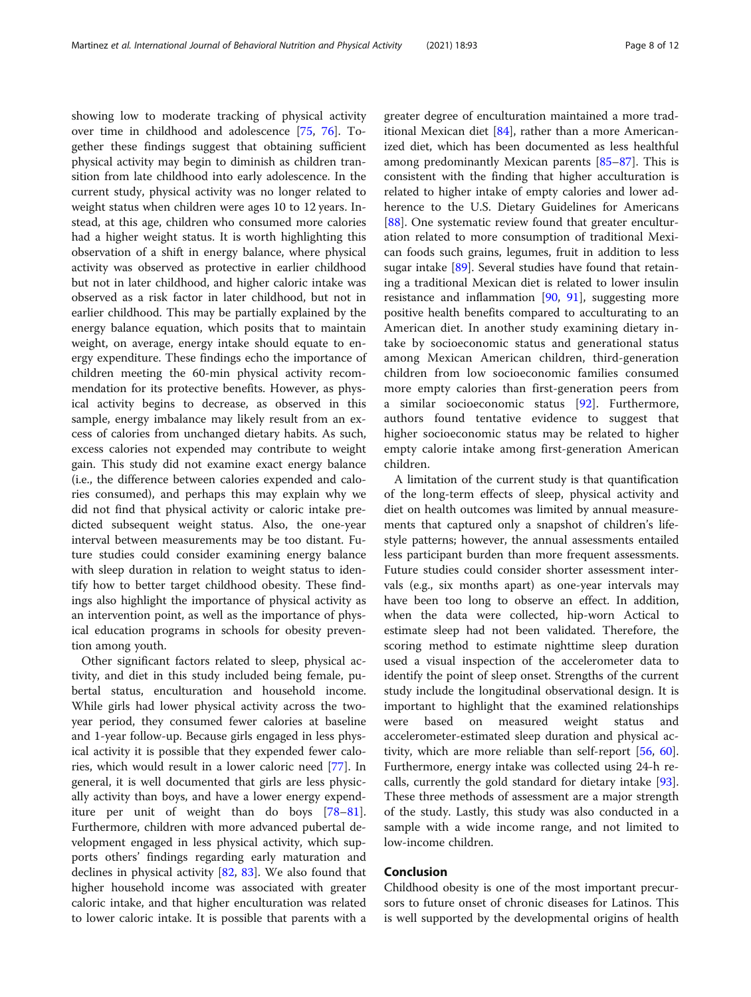showing low to moderate tracking of physical activity over time in childhood and adolescence [\[75](#page-10-0), [76\]](#page-10-0). Together these findings suggest that obtaining sufficient physical activity may begin to diminish as children transition from late childhood into early adolescence. In the current study, physical activity was no longer related to weight status when children were ages 10 to 12 years. Instead, at this age, children who consumed more calories had a higher weight status. It is worth highlighting this observation of a shift in energy balance, where physical activity was observed as protective in earlier childhood but not in later childhood, and higher caloric intake was observed as a risk factor in later childhood, but not in earlier childhood. This may be partially explained by the energy balance equation, which posits that to maintain weight, on average, energy intake should equate to energy expenditure. These findings echo the importance of children meeting the 60-min physical activity recommendation for its protective benefits. However, as physical activity begins to decrease, as observed in this sample, energy imbalance may likely result from an excess of calories from unchanged dietary habits. As such, excess calories not expended may contribute to weight gain. This study did not examine exact energy balance (i.e., the difference between calories expended and calories consumed), and perhaps this may explain why we did not find that physical activity or caloric intake predicted subsequent weight status. Also, the one-year interval between measurements may be too distant. Future studies could consider examining energy balance with sleep duration in relation to weight status to identify how to better target childhood obesity. These findings also highlight the importance of physical activity as an intervention point, as well as the importance of physical education programs in schools for obesity prevention among youth.

Other significant factors related to sleep, physical activity, and diet in this study included being female, pubertal status, enculturation and household income. While girls had lower physical activity across the twoyear period, they consumed fewer calories at baseline and 1-year follow-up. Because girls engaged in less physical activity it is possible that they expended fewer calories, which would result in a lower caloric need [\[77\]](#page-10-0). In general, it is well documented that girls are less physically activity than boys, and have a lower energy expenditure per unit of weight than do boys [[78](#page-10-0)–[81](#page-10-0)]. Furthermore, children with more advanced pubertal development engaged in less physical activity, which supports others' findings regarding early maturation and declines in physical activity [\[82,](#page-10-0) [83](#page-10-0)]. We also found that higher household income was associated with greater caloric intake, and that higher enculturation was related to lower caloric intake. It is possible that parents with a greater degree of enculturation maintained a more traditional Mexican diet [\[84](#page-10-0)], rather than a more Americanized diet, which has been documented as less healthful among predominantly Mexican parents [[85](#page-10-0)–[87](#page-10-0)]. This is consistent with the finding that higher acculturation is related to higher intake of empty calories and lower adherence to the U.S. Dietary Guidelines for Americans [[88\]](#page-10-0). One systematic review found that greater enculturation related to more consumption of traditional Mexican foods such grains, legumes, fruit in addition to less sugar intake  $[89]$ . Several studies have found that retaining a traditional Mexican diet is related to lower insulin resistance and inflammation [[90](#page-10-0), [91](#page-10-0)], suggesting more positive health benefits compared to acculturating to an American diet. In another study examining dietary intake by socioeconomic status and generational status among Mexican American children, third-generation children from low socioeconomic families consumed more empty calories than first-generation peers from a similar socioeconomic status [[92\]](#page-10-0). Furthermore, authors found tentative evidence to suggest that higher socioeconomic status may be related to higher empty calorie intake among first-generation American children.

A limitation of the current study is that quantification of the long-term effects of sleep, physical activity and diet on health outcomes was limited by annual measurements that captured only a snapshot of children's lifestyle patterns; however, the annual assessments entailed less participant burden than more frequent assessments. Future studies could consider shorter assessment intervals (e.g., six months apart) as one-year intervals may have been too long to observe an effect. In addition, when the data were collected, hip-worn Actical to estimate sleep had not been validated. Therefore, the scoring method to estimate nighttime sleep duration used a visual inspection of the accelerometer data to identify the point of sleep onset. Strengths of the current study include the longitudinal observational design. It is important to highlight that the examined relationships were based on measured weight status and accelerometer-estimated sleep duration and physical activity, which are more reliable than self-report [\[56](#page-10-0), [60](#page-10-0)]. Furthermore, energy intake was collected using 24-h recalls, currently the gold standard for dietary intake [\[93](#page-10-0)]. These three methods of assessment are a major strength of the study. Lastly, this study was also conducted in a sample with a wide income range, and not limited to low-income children.

# Conclusion

Childhood obesity is one of the most important precursors to future onset of chronic diseases for Latinos. This is well supported by the developmental origins of health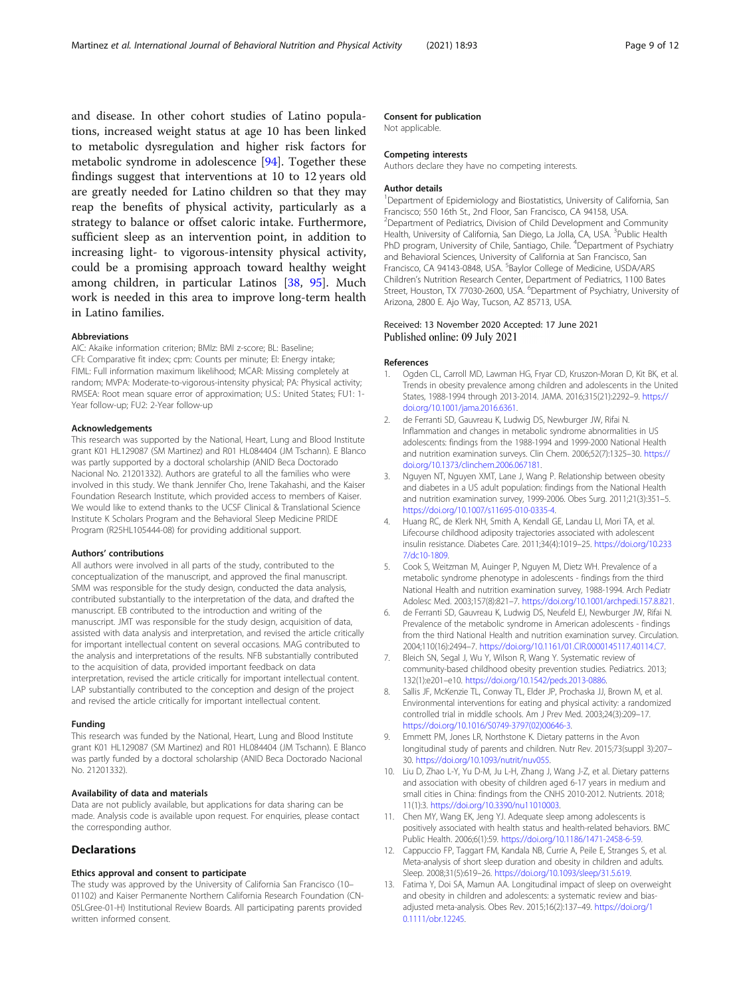<span id="page-8-0"></span>and disease. In other cohort studies of Latino populations, increased weight status at age 10 has been linked to metabolic dysregulation and higher risk factors for metabolic syndrome in adolescence [\[94\]](#page-11-0). Together these findings suggest that interventions at 10 to 12 years old are greatly needed for Latino children so that they may reap the benefits of physical activity, particularly as a strategy to balance or offset caloric intake. Furthermore, sufficient sleep as an intervention point, in addition to increasing light- to vigorous-intensity physical activity, could be a promising approach toward healthy weight among children, in particular Latinos [\[38](#page-9-0), [95\]](#page-11-0). Much work is needed in this area to improve long-term health in Latino families.

# Abbreviations

AIC: Akaike information criterion; BMIz: BMI z-score; BL: Baseline; CFI: Comparative fit index; cpm: Counts per minute; EI: Energy intake; FIML: Full information maximum likelihood; MCAR: Missing completely at random; MVPA: Moderate-to-vigorous-intensity physical; PA: Physical activity; RMSEA: Root mean square error of approximation; U.S.: United States; FU1: 1- Year follow-up; FU2: 2-Year follow-up

#### Acknowledgements

This research was supported by the National, Heart, Lung and Blood Institute grant K01 HL129087 (SM Martinez) and R01 HL084404 (JM Tschann). E Blanco was partly supported by a doctoral scholarship (ANID Beca Doctorado Nacional No. 21201332). Authors are grateful to all the families who were involved in this study. We thank Jennifer Cho, Irene Takahashi, and the Kaiser Foundation Research Institute, which provided access to members of Kaiser. We would like to extend thanks to the UCSF Clinical & Translational Science Institute K Scholars Program and the Behavioral Sleep Medicine PRIDE Program (R25HL105444-08) for providing additional support.

#### Authors' contributions

All authors were involved in all parts of the study, contributed to the conceptualization of the manuscript, and approved the final manuscript. SMM was responsible for the study design, conducted the data analysis, contributed substantially to the interpretation of the data, and drafted the manuscript. EB contributed to the introduction and writing of the manuscript. JMT was responsible for the study design, acquisition of data, assisted with data analysis and interpretation, and revised the article critically for important intellectual content on several occasions. MAG contributed to the analysis and interpretations of the results. NFB substantially contributed to the acquisition of data, provided important feedback on data interpretation, revised the article critically for important intellectual content. LAP substantially contributed to the conception and design of the project and revised the article critically for important intellectual content.

#### Funding

This research was funded by the National, Heart, Lung and Blood Institute grant K01 HL129087 (SM Martinez) and R01 HL084404 (JM Tschann). E Blanco was partly funded by a doctoral scholarship (ANID Beca Doctorado Nacional No. 21201332).

### Availability of data and materials

Data are not publicly available, but applications for data sharing can be made. Analysis code is available upon request. For enquiries, please contact the corresponding author.

# **Declarations**

# Ethics approval and consent to participate

The study was approved by the University of California San Francisco (10– 01102) and Kaiser Permanente Northern California Research Foundation (CN-05LGree-01-H) Institutional Review Boards. All participating parents provided written informed consent.

# Consent for publication

Not applicable.

#### Competing interests

Authors declare they have no competing interests.

#### Author details

<sup>1</sup>Department of Epidemiology and Biostatistics, University of California, San Francisco; 550 16th St., 2nd Floor, San Francisco, CA 94158, USA. <sup>2</sup> Department of Pediatrics, Division of Child Development and Community Health, University of California, San Diego, La Jolla, CA, USA. <sup>3</sup>Public Health PhD program, University of Chile, Santiago, Chile. <sup>4</sup>Department of Psychiatry and Behavioral Sciences, University of California at San Francisco, San Francisco, CA 94143-0848, USA. <sup>5</sup>Baylor College of Medicine, USDA/ARS Children's Nutrition Research Center, Department of Pediatrics, 1100 Bates Street, Houston, TX 77030-2600, USA. <sup>6</sup>Department of Psychiatry, University of Arizona, 2800 E. Ajo Way, Tucson, AZ 85713, USA.

# Received: 13 November 2020 Accepted: 17 June 2021 Published online: 09 July 2021

#### References

- 1. Ogden CL, Carroll MD, Lawman HG, Fryar CD, Kruszon-Moran D, Kit BK, et al. Trends in obesity prevalence among children and adolescents in the United States, 1988-1994 through 2013-2014. JAMA. 2016;315(21):2292–9. [https://](https://doi.org/10.1001/jama.2016.6361) [doi.org/10.1001/jama.2016.6361.](https://doi.org/10.1001/jama.2016.6361)
- 2. de Ferranti SD, Gauvreau K, Ludwig DS, Newburger JW, Rifai N. Inflammation and changes in metabolic syndrome abnormalities in US adolescents: findings from the 1988-1994 and 1999-2000 National Health and nutrition examination surveys. Clin Chem. 2006;52(7):1325–30. [https://](https://doi.org/10.1373/clinchem.2006.067181) [doi.org/10.1373/clinchem.2006.067181.](https://doi.org/10.1373/clinchem.2006.067181)
- 3. Nguyen NT, Nguyen XMT, Lane J, Wang P. Relationship between obesity and diabetes in a US adult population: findings from the National Health and nutrition examination survey, 1999-2006. Obes Surg. 2011;21(3):351–5. <https://doi.org/10.1007/s11695-010-0335-4>.
- 4. Huang RC, de Klerk NH, Smith A, Kendall GE, Landau LI, Mori TA, et al. Lifecourse childhood adiposity trajectories associated with adolescent insulin resistance. Diabetes Care. 2011;34(4):1019–25. [https://doi.org/10.233](https://doi.org/10.2337/dc10-1809) [7/dc10-1809](https://doi.org/10.2337/dc10-1809).
- 5. Cook S, Weitzman M, Auinger P, Nguyen M, Dietz WH. Prevalence of a metabolic syndrome phenotype in adolescents - findings from the third National Health and nutrition examination survey, 1988-1994. Arch Pediatr Adolesc Med. 2003;157(8):821–7. [https://doi.org/10.1001/archpedi.157.8.821.](https://doi.org/10.1001/archpedi.157.8.821)
- 6. de Ferranti SD, Gauvreau K, Ludwig DS, Neufeld EJ, Newburger JW, Rifai N. Prevalence of the metabolic syndrome in American adolescents - findings from the third National Health and nutrition examination survey. Circulation. 2004;110(16):2494–7. [https://doi.org/10.1161/01.CIR.0000145117.40114.C7.](https://doi.org/10.1161/01.CIR.0000145117.40114.C7)
- Bleich SN, Segal J, Wu Y, Wilson R, Wang Y. Systematic review of community-based childhood obesity prevention studies. Pediatrics. 2013; 132(1):e201–e10. [https://doi.org/10.1542/peds.2013-0886.](https://doi.org/10.1542/peds.2013-0886)
- 8. Sallis JF, McKenzie TL, Conway TL, Elder JP, Prochaska JJ, Brown M, et al. Environmental interventions for eating and physical activity: a randomized controlled trial in middle schools. Am J Prev Med. 2003;24(3):209–17. [https://doi.org/10.1016/S0749-3797\(02\)00646-3.](https://doi.org/10.1016/S0749-3797(02)00646-3)
- Emmett PM, Jones LR, Northstone K. Dietary patterns in the Avon longitudinal study of parents and children. Nutr Rev. 2015;73(suppl 3):207– 30. [https://doi.org/10.1093/nutrit/nuv055.](https://doi.org/10.1093/nutrit/nuv055)
- 10. Liu D, Zhao L-Y, Yu D-M, Ju L-H, Zhang J, Wang J-Z, et al. Dietary patterns and association with obesity of children aged 6-17 years in medium and small cities in China: findings from the CNHS 2010-2012. Nutrients. 2018; 11(1):3. [https://doi.org/10.3390/nu11010003.](https://doi.org/10.3390/nu11010003)
- 11. Chen MY, Wang EK, Jeng YJ. Adequate sleep among adolescents is positively associated with health status and health-related behaviors. BMC Public Health. 2006;6(1):59. [https://doi.org/10.1186/1471-2458-6-59.](https://doi.org/10.1186/1471-2458-6-59)
- 12. Cappuccio FP, Taggart FM, Kandala NB, Currie A, Peile E, Stranges S, et al. Meta-analysis of short sleep duration and obesity in children and adults. Sleep. 2008;31(5):619–26. [https://doi.org/10.1093/sleep/31.5.619.](https://doi.org/10.1093/sleep/31.5.619)
- 13. Fatima Y, Doi SA, Mamun AA. Longitudinal impact of sleep on overweight and obesity in children and adolescents: a systematic review and biasadjusted meta-analysis. Obes Rev. 2015;16(2):137–49. [https://doi.org/1](https://doi.org/10.1111/obr.12245) [0.1111/obr.12245](https://doi.org/10.1111/obr.12245).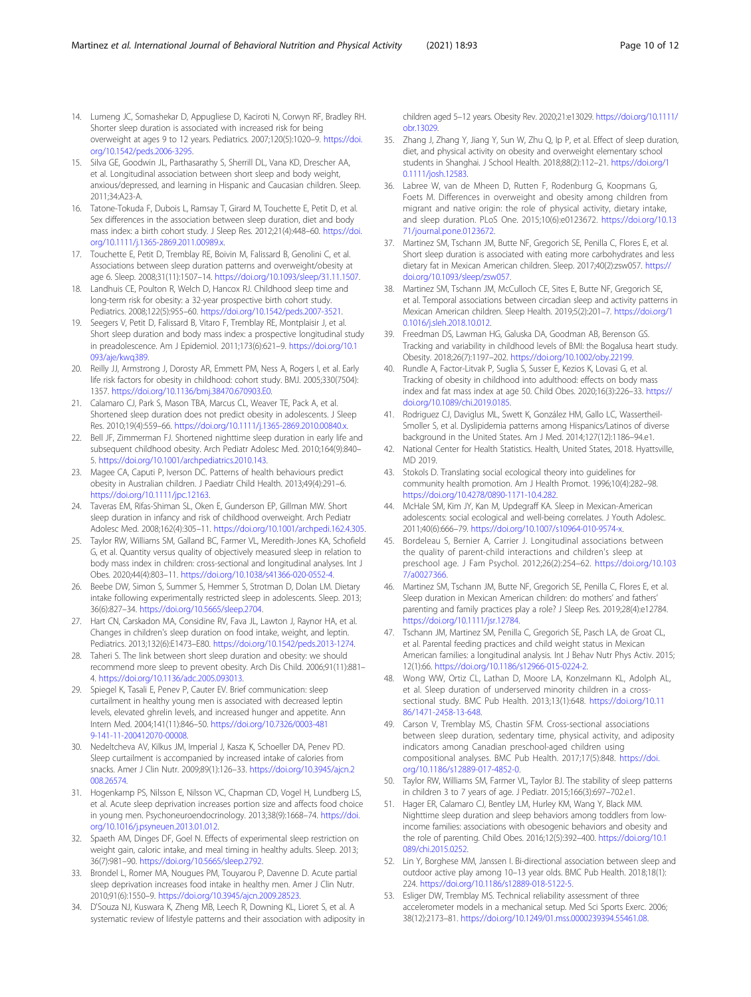- <span id="page-9-0"></span>14. Lumeng JC, Somashekar D, Appugliese D, Kaciroti N, Corwyn RF, Bradley RH. Shorter sleep duration is associated with increased risk for being overweight at ages 9 to 12 years. Pediatrics. 2007;120(5):1020–9. [https://doi.](https://doi.org/10.1542/peds.2006-3295) [org/10.1542/peds.2006-3295](https://doi.org/10.1542/peds.2006-3295).
- 15. Silva GE, Goodwin JL, Parthasarathy S, Sherrill DL, Vana KD, Drescher AA, et al. Longitudinal association between short sleep and body weight, anxious/depressed, and learning in Hispanic and Caucasian children. Sleep. 2011;34:A23-A.
- 16. Tatone-Tokuda F, Dubois L, Ramsay T, Girard M, Touchette E, Petit D, et al. Sex differences in the association between sleep duration, diet and body mass index: a birth cohort study. J Sleep Res. 2012;21(4):448–60. [https://doi.](https://doi.org/10.1111/j.1365-2869.2011.00989.x) [org/10.1111/j.1365-2869.2011.00989.x](https://doi.org/10.1111/j.1365-2869.2011.00989.x).
- 17. Touchette E, Petit D, Tremblay RE, Boivin M, Falissard B, Genolini C, et al. Associations between sleep duration patterns and overweight/obesity at age 6. Sleep. 2008;31(11):1507–14. [https://doi.org/10.1093/sleep/31.11.1507.](https://doi.org/10.1093/sleep/31.11.1507)
- 18. Landhuis CE, Poulton R, Welch D, Hancox RJ. Childhood sleep time and long-term risk for obesity: a 32-year prospective birth cohort study. Pediatrics. 2008;122(5):955–60. [https://doi.org/10.1542/peds.2007-3521.](https://doi.org/10.1542/peds.2007-3521)
- 19. Seegers V, Petit D, Falissard B, Vitaro F, Tremblay RE, Montplaisir J, et al. Short sleep duration and body mass index: a prospective longitudinal study in preadolescence. Am J Epidemiol. 2011;173(6):621–9. [https://doi.org/10.1](https://doi.org/10.1093/aje/kwq389) [093/aje/kwq389](https://doi.org/10.1093/aje/kwq389).
- 20. Reilly JJ, Armstrong J, Dorosty AR, Emmett PM, Ness A, Rogers I, et al. Early life risk factors for obesity in childhood: cohort study. BMJ. 2005;330(7504): 1357. [https://doi.org/10.1136/bmj.38470.670903.E0.](https://doi.org/10.1136/bmj.38470.670903.E0)
- 21. Calamaro CJ, Park S, Mason TBA, Marcus CL, Weaver TE, Pack A, et al. Shortened sleep duration does not predict obesity in adolescents. J Sleep Res. 2010;19(4):559–66. <https://doi.org/10.1111/j.1365-2869.2010.00840.x>.
- 22. Bell JF, Zimmerman FJ. Shortened nighttime sleep duration in early life and subsequent childhood obesity. Arch Pediatr Adolesc Med. 2010;164(9):840– 5. <https://doi.org/10.1001/archpediatrics.2010.143>.
- 23. Magee CA, Caputi P, Iverson DC. Patterns of health behaviours predict obesity in Australian children. J Paediatr Child Health. 2013;49(4):291–6. [https://doi.org/10.1111/jpc.12163.](https://doi.org/10.1111/jpc.12163)
- 24. Taveras EM, Rifas-Shiman SL, Oken E, Gunderson EP, Gillman MW. Short sleep duration in infancy and risk of childhood overweight. Arch Pediatr Adolesc Med. 2008;162(4):305–11. <https://doi.org/10.1001/archpedi.162.4.305>.
- 25. Taylor RW, Williams SM, Galland BC, Farmer VL, Meredith-Jones KA, Schofield G, et al. Quantity versus quality of objectively measured sleep in relation to body mass index in children: cross-sectional and longitudinal analyses. Int J Obes. 2020;44(4):803–11. [https://doi.org/10.1038/s41366-020-0552-4.](https://doi.org/10.1038/s41366-020-0552-4)
- 26. Beebe DW, Simon S, Summer S, Hemmer S, Strotman D, Dolan LM. Dietary intake following experimentally restricted sleep in adolescents. Sleep. 2013; 36(6):827–34. [https://doi.org/10.5665/sleep.2704.](https://doi.org/10.5665/sleep.2704)
- 27. Hart CN, Carskadon MA, Considine RV, Fava JL, Lawton J, Raynor HA, et al. Changes in children's sleep duration on food intake, weight, and leptin. Pediatrics. 2013;132(6):E1473–E80. [https://doi.org/10.1542/peds.2013-1274.](https://doi.org/10.1542/peds.2013-1274)
- 28. Taheri S. The link between short sleep duration and obesity: we should recommend more sleep to prevent obesity. Arch Dis Child. 2006;91(11):881– 4. <https://doi.org/10.1136/adc.2005.093013>.
- 29. Spiegel K, Tasali E, Penev P, Cauter EV. Brief communication: sleep curtailment in healthy young men is associated with decreased leptin levels, elevated ghrelin levels, and increased hunger and appetite. Ann Intern Med. 2004;141(11):846–50. [https://doi.org/10.7326/0003-481](https://doi.org/10.7326/0003-4819-141-11-200412070-00008) [9-141-11-200412070-00008](https://doi.org/10.7326/0003-4819-141-11-200412070-00008).
- 30. Nedeltcheva AV, Kilkus JM, Imperial J, Kasza K, Schoeller DA, Penev PD. Sleep curtailment is accompanied by increased intake of calories from snacks. Amer J Clin Nutr. 2009;89(1):126–33. [https://doi.org/10.3945/ajcn.2](https://doi.org/10.3945/ajcn.2008.26574) [008.26574](https://doi.org/10.3945/ajcn.2008.26574).
- 31. Hogenkamp PS, Nilsson E, Nilsson VC, Chapman CD, Vogel H, Lundberg LS, et al. Acute sleep deprivation increases portion size and affects food choice in young men. Psychoneuroendocrinology. 2013;38(9):1668–74. [https://doi.](https://doi.org/10.1016/j.psyneuen.2013.01.012) [org/10.1016/j.psyneuen.2013.01.012.](https://doi.org/10.1016/j.psyneuen.2013.01.012)
- 32. Spaeth AM, Dinges DF, Goel N. Effects of experimental sleep restriction on weight gain, caloric intake, and meal timing in healthy adults. Sleep. 2013; 36(7):981–90. [https://doi.org/10.5665/sleep.2792.](https://doi.org/10.5665/sleep.2792)
- 33. Brondel L, Romer MA, Nougues PM, Touyarou P, Davenne D. Acute partial sleep deprivation increases food intake in healthy men. Amer J Clin Nutr. 2010;91(6):1550–9. <https://doi.org/10.3945/ajcn.2009.28523>.
- 34. D'Souza NJ, Kuswara K, Zheng MB, Leech R, Downing KL, Lioret S, et al. A systematic review of lifestyle patterns and their association with adiposity in

children aged 5–12 years. Obesity Rev. 2020;21:e13029. [https://doi.org/10.1111/](https://doi.org/10.1111/obr.13029) [obr.13029.](https://doi.org/10.1111/obr.13029)

- 35. Zhang J, Zhang Y, Jiang Y, Sun W, Zhu Q, Ip P, et al. Effect of sleep duration, diet, and physical activity on obesity and overweight elementary school students in Shanghai. J School Health. 2018;88(2):112–21. [https://doi.org/1](https://doi.org/10.1111/josh.12583) [0.1111/josh.12583](https://doi.org/10.1111/josh.12583).
- 36. Labree W, van de Mheen D, Rutten F, Rodenburg G, Koopmans G, Foets M. Differences in overweight and obesity among children from migrant and native origin: the role of physical activity, dietary intake, and sleep duration. PLoS One. 2015;10(6):e0123672. [https://doi.org/10.13](https://doi.org/10.1371/journal.pone.0123672) [71/journal.pone.0123672.](https://doi.org/10.1371/journal.pone.0123672)
- 37. Martinez SM, Tschann JM, Butte NF, Gregorich SE, Penilla C, Flores E, et al. Short sleep duration is associated with eating more carbohydrates and less dietary fat in Mexican American children. Sleep. 2017;40(2):zsw057. [https://](https://doi.org/10.1093/sleep/zsw057) [doi.org/10.1093/sleep/zsw057](https://doi.org/10.1093/sleep/zsw057).
- 38. Martinez SM, Tschann JM, McCulloch CE, Sites E, Butte NF, Gregorich SE, et al. Temporal associations between circadian sleep and activity patterns in Mexican American children. Sleep Health. 2019;5(2):201–7. [https://doi.org/1](https://doi.org/10.1016/j.sleh.2018.10.012) [0.1016/j.sleh.2018.10.012.](https://doi.org/10.1016/j.sleh.2018.10.012)
- 39. Freedman DS, Lawman HG, Galuska DA, Goodman AB, Berenson GS. Tracking and variability in childhood levels of BMI: the Bogalusa heart study. Obesity. 2018;26(7):1197–202. <https://doi.org/10.1002/oby.22199>.
- 40. Rundle A, Factor-Litvak P, Suglia S, Susser E, Kezios K, Lovasi G, et al. Tracking of obesity in childhood into adulthood: effects on body mass index and fat mass index at age 50. Child Obes. 2020;16(3):226–33. [https://](https://doi.org/10.1089/chi.2019.0185) [doi.org/10.1089/chi.2019.0185](https://doi.org/10.1089/chi.2019.0185).
- 41. Rodriguez CJ, Daviglus ML, Swett K, González HM, Gallo LC, Wassertheil-Smoller S, et al. Dyslipidemia patterns among Hispanics/Latinos of diverse background in the United States. Am J Med. 2014;127(12):1186–94.e1.
- 42. National Center for Health Statistics. Health, United States, 2018. Hyattsville, MD 2019.
- 43. Stokols D. Translating social ecological theory into guidelines for community health promotion. Am J Health Promot. 1996;10(4):282–98. <https://doi.org/10.4278/0890-1171-10.4.282>.
- 44. McHale SM, Kim JY, Kan M, Updegraff KA. Sleep in Mexican-American adolescents: social ecological and well-being correlates. J Youth Adolesc. 2011;40(6):666–79. [https://doi.org/10.1007/s10964-010-9574-x.](https://doi.org/10.1007/s10964-010-9574-x)
- 45. Bordeleau S, Bernier A, Carrier J. Longitudinal associations between the quality of parent-child interactions and children's sleep at preschool age. J Fam Psychol. 2012;26(2):254–62. [https://doi.org/10.103](https://doi.org/10.1037/a0027366) [7/a0027366](https://doi.org/10.1037/a0027366).
- 46. Martinez SM, Tschann JM, Butte NF, Gregorich SE, Penilla C, Flores E, et al. Sleep duration in Mexican American children: do mothers' and fathers' parenting and family practices play a role? J Sleep Res. 2019;28(4):e12784. <https://doi.org/10.1111/jsr.12784>.
- 47. Tschann JM, Martinez SM, Penilla C, Gregorich SE, Pasch LA, de Groat CL, et al. Parental feeding practices and child weight status in Mexican American families: a longitudinal analysis. Int J Behav Nutr Phys Activ. 2015; 12(1):66. <https://doi.org/10.1186/s12966-015-0224-2>.
- 48. Wong WW, Ortiz CL, Lathan D, Moore LA, Konzelmann KL, Adolph AL, et al. Sleep duration of underserved minority children in a crosssectional study. BMC Pub Health. 2013;13(1):648. [https://doi.org/10.11](https://doi.org/10.1186/1471-2458-13-648) [86/1471-2458-13-648](https://doi.org/10.1186/1471-2458-13-648).
- 49. Carson V, Tremblay MS, Chastin SFM. Cross-sectional associations between sleep duration, sedentary time, physical activity, and adiposity indicators among Canadian preschool-aged children using compositional analyses. BMC Pub Health. 2017;17(5):848. [https://doi.](https://doi.org/10.1186/s12889-017-4852-0) [org/10.1186/s12889-017-4852-0.](https://doi.org/10.1186/s12889-017-4852-0)
- 50. Taylor RW, Williams SM, Farmer VL, Taylor BJ. The stability of sleep patterns in children 3 to 7 years of age. J Pediatr. 2015;166(3):697–702.e1.
- 51. Hager ER, Calamaro CJ, Bentley LM, Hurley KM, Wang Y, Black MM. Nighttime sleep duration and sleep behaviors among toddlers from lowincome families: associations with obesogenic behaviors and obesity and the role of parenting. Child Obes. 2016;12(5):392–400. [https://doi.org/10.1](https://doi.org/10.1089/chi.2015.0252) [089/chi.2015.0252](https://doi.org/10.1089/chi.2015.0252).
- 52. Lin Y, Borghese MM, Janssen I. Bi-directional association between sleep and outdoor active play among 10–13 year olds. BMC Pub Health. 2018;18(1): 224. [https://doi.org/10.1186/s12889-018-5122-5.](https://doi.org/10.1186/s12889-018-5122-5)
- 53. Esliger DW, Tremblay MS. Technical reliability assessment of three accelerometer models in a mechanical setup. Med Sci Sports Exerc. 2006; 38(12):2173–81. <https://doi.org/10.1249/01.mss.0000239394.55461.08>.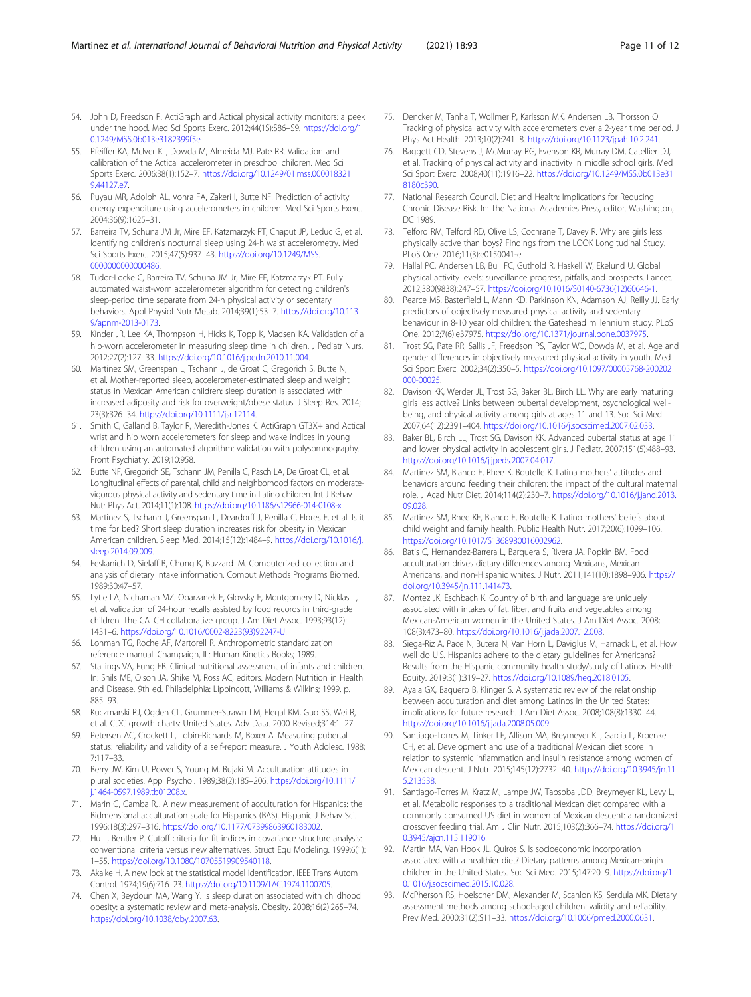- <span id="page-10-0"></span>54. John D, Freedson P. ActiGraph and Actical physical activity monitors: a peek under the hood. Med Sci Sports Exerc. 2012;44(1S):S86–S9. [https://doi.org/1](https://doi.org/10.1249/MSS.0b013e3182399f5e) [0.1249/MSS.0b013e3182399f5e](https://doi.org/10.1249/MSS.0b013e3182399f5e).
- 55. Pfeiffer KA, McIver KL, Dowda M, Almeida MJ, Pate RR. Validation and calibration of the Actical accelerometer in preschool children. Med Sci Sports Exerc. 2006;38(1):152–7. [https://doi.org/10.1249/01.mss.000018321](https://doi.org/10.1249/01.mss.0000183219.44127.e7) [9.44127.e7](https://doi.org/10.1249/01.mss.0000183219.44127.e7).
- 56. Puyau MR, Adolph AL, Vohra FA, Zakeri I, Butte NF. Prediction of activity energy expenditure using accelerometers in children. Med Sci Sports Exerc. 2004;36(9):1625–31.
- 57. Barreira TV, Schuna JM Jr, Mire EF, Katzmarzyk PT, Chaput JP, Leduc G, et al. Identifying children's nocturnal sleep using 24-h waist accelerometry. Med Sci Sports Exerc. 2015;47(5):937–43. [https://doi.org/10.1249/MSS.](https://doi.org/10.1249/MSS.0000000000000486) [0000000000000486](https://doi.org/10.1249/MSS.0000000000000486).
- 58. Tudor-Locke C, Barreira TV, Schuna JM Jr, Mire EF, Katzmarzyk PT. Fully automated waist-worn accelerometer algorithm for detecting children's sleep-period time separate from 24-h physical activity or sedentary behaviors. Appl Physiol Nutr Metab. 2014;39(1):53–7. [https://doi.org/10.113](https://doi.org/10.1139/apnm-2013-0173) [9/apnm-2013-0173.](https://doi.org/10.1139/apnm-2013-0173)
- 59. Kinder JR, Lee KA, Thompson H, Hicks K, Topp K, Madsen KA. Validation of a hip-worn accelerometer in measuring sleep time in children. J Pediatr Nurs. 2012;27(2):127–33. [https://doi.org/10.1016/j.pedn.2010.11.004.](https://doi.org/10.1016/j.pedn.2010.11.004)
- 60. Martinez SM, Greenspan L, Tschann J, de Groat C, Gregorich S, Butte N, et al. Mother-reported sleep, accelerometer-estimated sleep and weight status in Mexican American children: sleep duration is associated with increased adiposity and risk for overweight/obese status. J Sleep Res. 2014; 23(3):326–34. <https://doi.org/10.1111/jsr.12114>.
- 61. Smith C, Galland B, Taylor R, Meredith-Jones K. ActiGraph GT3X+ and Actical wrist and hip worn accelerometers for sleep and wake indices in young children using an automated algorithm: validation with polysomnography. Front Psychiatry. 2019;10:958.
- 62. Butte NF, Gregorich SE, Tschann JM, Penilla C, Pasch LA, De Groat CL, et al. Longitudinal effects of parental, child and neighborhood factors on moderatevigorous physical activity and sedentary time in Latino children. Int J Behav Nutr Phys Act. 2014;11(1):108. [https://doi.org/10.1186/s12966-014-0108-x.](https://doi.org/10.1186/s12966-014-0108-x)
- 63. Martinez S, Tschann J, Greenspan L, Deardorff J, Penilla C, Flores E, et al. Is it time for bed? Short sleep duration increases risk for obesity in Mexican American children. Sleep Med. 2014;15(12):1484–9. [https://doi.org/10.1016/j.](https://doi.org/10.1016/j.sleep.2014.09.009) [sleep.2014.09.009.](https://doi.org/10.1016/j.sleep.2014.09.009)
- 64. Feskanich D, Sielaff B, Chong K, Buzzard IM. Computerized collection and analysis of dietary intake information. Comput Methods Programs Biomed. 1989;30:47–57.
- 65. Lytle LA, Nichaman MZ. Obarzanek E, Glovsky E, Montgomery D, Nicklas T, et al. validation of 24-hour recalls assisted by food records in third-grade children. The CATCH collaborative group. J Am Diet Assoc. 1993;93(12): 1431–6. [https://doi.org/10.1016/0002-8223\(93\)92247-U](https://doi.org/10.1016/0002-8223(93)92247-U).
- 66. Lohman TG, Roche AF, Martorell R. Anthropometric standardization reference manual. Champaign, IL: Human Kinetics Books; 1989.
- 67. Stallings VA, Fung EB. Clinical nutritional assessment of infants and children. In: Shils ME, Olson JA, Shike M, Ross AC, editors. Modern Nutrition in Health and Disease. 9th ed. Philadelphia: Lippincott, Williams & Wilkins; 1999. p. 885–93.
- 68. Kuczmarski RJ, Ogden CL, Grummer-Strawn LM, Flegal KM, Guo SS, Wei R, et al. CDC growth charts: United States. Adv Data. 2000 Revised;314:1–27.
- 69. Petersen AC, Crockett L, Tobin-Richards M, Boxer A. Measuring pubertal status: reliability and validity of a self-report measure. J Youth Adolesc. 1988; 7:117–33.
- 70. Berry JW, Kim U, Power S, Young M, Bujaki M. Acculturation attitudes in plural societies. Appl Psychol. 1989;38(2):185–206. [https://doi.org/10.1111/](https://doi.org/10.1111/j.1464-0597.1989.tb01208.x) [j.1464-0597.1989.tb01208.x](https://doi.org/10.1111/j.1464-0597.1989.tb01208.x).
- 71. Marin G, Gamba RJ. A new measurement of acculturation for Hispanics: the Bidmensional acculturation scale for Hispanics (BAS). Hispanic J Behav Sci. 1996;18(3):297–316. <https://doi.org/10.1177/07399863960183002>.
- 72. Hu L, Bentler P. Cutoff criteria for fit indices in covariance structure analysis: conventional criteria versus new alternatives. Struct Equ Modeling. 1999;6(1): 1–55. <https://doi.org/10.1080/10705519909540118>.
- 73. Akaike H. A new look at the statistical model identification. IEEE Trans Autom Control. 1974;19(6):716–23. <https://doi.org/10.1109/TAC.1974.1100705>.
- 74. Chen X, Beydoun MA, Wang Y. Is sleep duration associated with childhood obesity: a systematic review and meta-analysis. Obesity. 2008;16(2):265–74. [https://doi.org/10.1038/oby.2007.63.](https://doi.org/10.1038/oby.2007.63)
- 75. Dencker M, Tanha T, Wollmer P, Karlsson MK, Andersen LB, Thorsson O. Tracking of physical activity with accelerometers over a 2-year time period. J Phys Act Health. 2013;10(2):241–8. <https://doi.org/10.1123/jpah.10.2.241>.
- 76. Baggett CD, Stevens J, McMurray RG, Evenson KR, Murray DM, Catellier DJ, et al. Tracking of physical activity and inactivity in middle school girls. Med Sci Sport Exerc. 2008;40(11):1916–22. [https://doi.org/10.1249/MSS.0b013e31](https://doi.org/10.1249/MSS.0b013e318180c390) [8180c390.](https://doi.org/10.1249/MSS.0b013e318180c390)
- 77. National Research Council. Diet and Health: Implications for Reducing Chronic Disease Risk. In: The National Academies Press, editor. Washington, DC 1989.
- 78. Telford RM, Telford RD, Olive LS, Cochrane T, Davey R. Why are girls less physically active than boys? Findings from the LOOK Longitudinal Study. PLoS One. 2016;11(3):e0150041-e.
- 79. Hallal PC, Andersen LB, Bull FC, Guthold R, Haskell W, Ekelund U. Global physical activity levels: surveillance progress, pitfalls, and prospects. Lancet. 2012;380(9838):247–57. [https://doi.org/10.1016/S0140-6736\(12\)60646-1](https://doi.org/10.1016/S0140-6736(12)60646-1).
- 80. Pearce MS, Basterfield L, Mann KD, Parkinson KN, Adamson AJ, Reilly JJ. Early predictors of objectively measured physical activity and sedentary behaviour in 8-10 year old children: the Gateshead millennium study. PLoS One. 2012;7(6):e37975. <https://doi.org/10.1371/journal.pone.0037975>.
- 81. Trost SG, Pate RR, Sallis JF, Freedson PS, Taylor WC, Dowda M, et al. Age and gender differences in objectively measured physical activity in youth. Med Sci Sport Exerc. 2002;34(2):350–5. [https://doi.org/10.1097/00005768-200202](https://doi.org/10.1097/00005768-200202000-00025) [000-00025](https://doi.org/10.1097/00005768-200202000-00025).
- 82. Davison KK, Werder JL, Trost SG, Baker BL, Birch LL. Why are early maturing girls less active? Links between pubertal development, psychological wellbeing, and physical activity among girls at ages 11 and 13. Soc Sci Med. 2007;64(12):2391–404. [https://doi.org/10.1016/j.socscimed.2007.02.033.](https://doi.org/10.1016/j.socscimed.2007.02.033)
- Baker BL, Birch LL, Trost SG, Davison KK. Advanced pubertal status at age 11 and lower physical activity in adolescent girls. J Pediatr. 2007;151(5):488–93. <https://doi.org/10.1016/j.jpeds.2007.04.017>.
- 84. Martinez SM, Blanco E, Rhee K, Boutelle K. Latina mothers' attitudes and behaviors around feeding their children: the impact of the cultural maternal role. J Acad Nutr Diet. 2014;114(2):230–7. [https://doi.org/10.1016/j.jand.2013.](https://doi.org/10.1016/j.jand.2013.09.028) [09.028](https://doi.org/10.1016/j.jand.2013.09.028).
- 85. Martinez SM, Rhee KE, Blanco E, Boutelle K. Latino mothers' beliefs about child weight and family health. Public Health Nutr. 2017;20(6):1099–106. [https://doi.org/10.1017/S1368980016002962.](https://doi.org/10.1017/S1368980016002962)
- 86. Batis C, Hernandez-Barrera L, Barquera S, Rivera JA, Popkin BM. Food acculturation drives dietary differences among Mexicans, Mexican Americans, and non-Hispanic whites. J Nutr. 2011;141(10):1898–906. [https://](https://doi.org/10.3945/jn.111.141473) [doi.org/10.3945/jn.111.141473.](https://doi.org/10.3945/jn.111.141473)
- 87. Montez JK, Eschbach K. Country of birth and language are uniquely associated with intakes of fat, fiber, and fruits and vegetables among Mexican-American women in the United States. J Am Diet Assoc. 2008; 108(3):473–80. <https://doi.org/10.1016/j.jada.2007.12.008>.
- 88. Siega-Riz A, Pace N, Butera N, Van Horn L, Daviglus M, Harnack L, et al. How well do U.S. Hispanics adhere to the dietary guidelines for Americans? Results from the Hispanic community health study/study of Latinos. Health Equity. 2019;3(1):319–27. <https://doi.org/10.1089/heq.2018.0105>.
- 89. Ayala GX, Baquero B, Klinger S. A systematic review of the relationship between acculturation and diet among Latinos in the United States: implications for future research. J Am Diet Assoc. 2008;108(8):1330–44. [https://doi.org/10.1016/j.jada.2008.05.009.](https://doi.org/10.1016/j.jada.2008.05.009)
- 90. Santiago-Torres M, Tinker LF, Allison MA, Breymeyer KL, Garcia L, Kroenke CH, et al. Development and use of a traditional Mexican diet score in relation to systemic inflammation and insulin resistance among women of Mexican descent. J Nutr. 2015;145(12):2732–40. [https://doi.org/10.3945/jn.11](https://doi.org/10.3945/jn.115.213538) [5.213538.](https://doi.org/10.3945/jn.115.213538)
- 91. Santiago-Torres M, Kratz M, Lampe JW, Tapsoba JDD, Breymeyer KL, Levy L, et al. Metabolic responses to a traditional Mexican diet compared with a commonly consumed US diet in women of Mexican descent: a randomized crossover feeding trial. Am J Clin Nutr. 2015;103(2):366–74. [https://doi.org/1](https://doi.org/10.3945/ajcn.115.119016) [0.3945/ajcn.115.119016](https://doi.org/10.3945/ajcn.115.119016).
- 92. Martin MA, Van Hook JL, Quiros S. Is socioeconomic incorporation associated with a healthier diet? Dietary patterns among Mexican-origin children in the United States. Soc Sci Med. 2015;147:20–9. [https://doi.org/1](https://doi.org/10.1016/j.socscimed.2015.10.028) [0.1016/j.socscimed.2015.10.028](https://doi.org/10.1016/j.socscimed.2015.10.028).
- 93. McPherson RS, Hoelscher DM, Alexander M, Scanlon KS, Serdula MK. Dietary assessment methods among school-aged children: validity and reliability. Prev Med. 2000;31(2):S11–33. [https://doi.org/10.1006/pmed.2000.0631.](https://doi.org/10.1006/pmed.2000.0631)